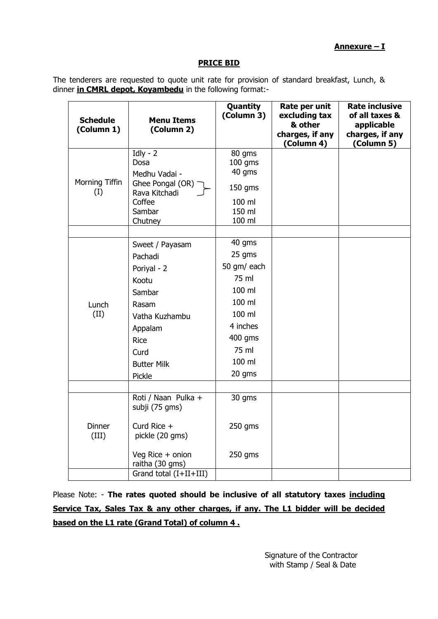## **Annexure – I**

## **PRICE BID**

The tenderers are requested to quote unit rate for provision of standard breakfast, Lunch, & dinner **in CMRL depot, Koyambedu** in the following format:-

| <b>Schedule</b><br>(Column 1) | <b>Menu Items</b><br>(Column 2)                                                                                                                    | Quantity<br>(Column 3)                                                                                                     | Rate per unit<br>excluding tax<br>& other<br>charges, if any<br>(Column 4) | <b>Rate inclusive</b><br>of all taxes &<br>applicable<br>charges, if any<br>(Column 5) |
|-------------------------------|----------------------------------------------------------------------------------------------------------------------------------------------------|----------------------------------------------------------------------------------------------------------------------------|----------------------------------------------------------------------------|----------------------------------------------------------------------------------------|
| Morning Tiffin<br>(I)         | $Idly - 2$<br>Dosa<br>Medhu Vadai -<br>Ghee Pongal (OR)<br>Rava Kitchadi<br>Coffee<br>Sambar<br>Chutney                                            | 80 gms<br>$100$ gms<br>40 gms<br>150 gms<br>100 ml<br>150 ml<br>100 ml                                                     |                                                                            |                                                                                        |
| Lunch<br>(II)                 | Sweet / Payasam<br>Pachadi<br>Poriyal - 2<br>Kootu<br>Sambar<br>Rasam<br>Vatha Kuzhambu<br>Appalam<br>Rice<br>Curd<br><b>Butter Milk</b><br>Pickle | 40 gms<br>25 gms<br>50 gm/ each<br>75 ml<br>100 ml<br>100 ml<br>100 ml<br>4 inches<br>400 gms<br>75 ml<br>100 ml<br>20 gms |                                                                            |                                                                                        |
| <b>Dinner</b><br>(III)        | Roti / Naan Pulka +<br>subji (75 gms)<br>Curd Rice +<br>pickle (20 gms)<br>Veg Rice + onion<br>raitha (30 gms)<br>Grand total (I+II+III)           | 30 gms<br>$250$ gms<br>$250$ gms                                                                                           |                                                                            |                                                                                        |

Please Note: - **The rates quoted should be inclusive of all statutory taxes including Service Tax, Sales Tax & any other charges, if any. The L1 bidder will be decided based on the L1 rate (Grand Total) of column 4 .**